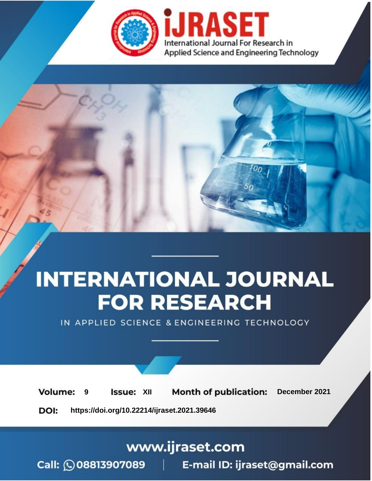



IN APPLIED SCIENCE & ENGINEERING TECHNOLOGY

**9 Issue:** XII **Month of publication:** December 2021 **Volume: https://doi.org/10.22214/ijraset.2021.39646**DOI:

www.ijraset.com

Call: 008813907089 | E-mail ID: ijraset@gmail.com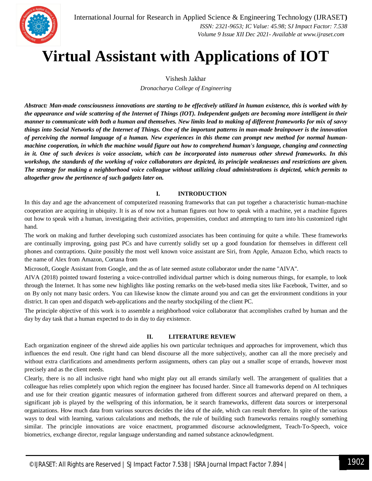

## **Virtual Assistant with Applications of IOT**

Vishesh Jakhar

*Dronacharya College of Engineering*

*Abstract: Man-made consciousness innovations are starting to be effectively utilized in human existence, this is worked with by the appearance and wide scattering of the Internet of Things (IOT). Independent gadgets are becoming more intelligent in their manner to communicate with both a human and themselves. New limits lead to making of different frameworks for mix of savvy things into Social Networks of the Internet of Things. One of the important patterns in man-made brainpower is the innovation of perceiving the normal language of a human. New experiences in this theme can prompt new method for normal humanmachine cooperation, in which the machine would figure out how to comprehend human's language, changing and connecting in it. One of such devices is voice associate, which can be incorporated into numerous other shrewd frameworks. In this workshop, the standards of the working of voice collaborators are depicted, its principle weaknesses and restrictions are given. The strategy for making a neighborhood voice colleague without utilizing cloud administrations is depicted, which permits to altogether grow the pertinence of such gadgets later on.*

### **I. INTRODUCTION**

In this day and age the advancement of computerized reasoning frameworks that can put together a characteristic human-machine cooperation are acquiring in ubiquity. It is as of now not a human figures out how to speak with a machine, yet a machine figures out how to speak with a human, investigating their activities, propensities, conduct and attempting to turn into his customized right hand.

The work on making and further developing such customized associates has been continuing for quite a while. These frameworks are continually improving, going past PCs and have currently solidly set up a good foundation for themselves in different cell phones and contraptions. Quite possibly the most well known voice assistant are Siri, from Apple, Amazon Echo, which reacts to the name of Alex from Amazon, Cortana from

Microsoft, Google Assistant from Google, and the as of late seemed astute collaborator under the name "AIVA".

AIVA (2018) pointed toward fostering a voice-controlled individual partner which is doing numerous things, for example, to look through the Internet. It has some new highlights like posting remarks on the web-based media sites like Facebook, Twitter, and so on By only not many basic orders. You can likewise know the climate around you and can get the environment conditions in your district. It can open and dispatch web-applications and the nearby stockpiling of the client PC.

The principle objective of this work is to assemble a neighborhood voice collaborator that accomplishes crafted by human and the day by day task that a human expected to do in day to day existence.

#### **II. LITERATURE REVIEW**

Each organization engineer of the shrewd aide applies his own particular techniques and approaches for improvement, which thus influences the end result. One right hand can blend discourse all the more subjectively, another can all the more precisely and without extra clarifications and amendments perform assignments, others can play out a smaller scope of errands, however most precisely and as the client needs.

Clearly, there is no all inclusive right hand who might play out all errands similarly well. The arrangement of qualities that a colleague has relies completely upon which region the engineer has focused harder. Since all frameworks depend on AI techniques and use for their creation gigantic measures of information gathered from different sources and afterward prepared on them, a significant job is played by the wellspring of this information, be it search frameworks, different data sources or interpersonal organizations. How much data from various sources decides the idea of the aide, which can result therefore. In spite of the various ways to deal with learning, various calculations and methods, the rule of building such frameworks remains roughly something similar. The principle innovations are voice enactment, programmed discourse acknowledgment, Teach-To-Speech, voice biometrics, exchange director, regular language understanding and named substance acknowledgment.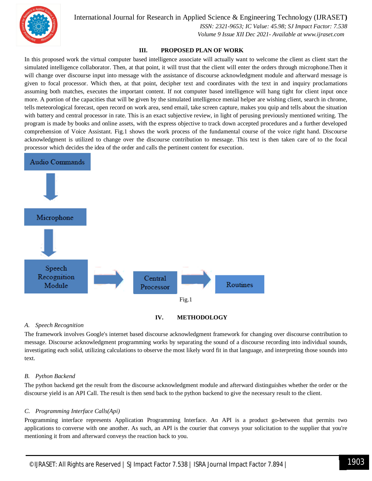

International Journal for Research in Applied Science & Engineering Technology (IJRASET**)**

 *ISSN: 2321-9653; IC Value: 45.98; SJ Impact Factor: 7.538 Volume 9 Issue XII Dec 2021- Available at www.ijraset.com*

#### **III. PROPOSED PLAN OF WORK**

In this proposed work the virtual computer based intelligence associate will actually want to welcome the client as client start the simulated intelligence collaborator. Then, at that point, it will trust that the client will enter the orders through microphone.Then it will change over discourse input into message with the assistance of discourse acknowledgment module and afterward message is given to focal processor. Which then, at that point, decipher text and coordinates with the text in and inquiry proclamations assuming both matches, executes the important content. If not computer based intelligence will hang tight for client input once more. A portion of the capacities that will be given by the simulated intelligence menial helper are wishing client, search in chrome, tells meteorological forecast, open record on work area, send email, take screen capture, makes you quip and tells about the situation with battery and central processor in rate. This is an exact subjective review, in light of perusing previously mentioned writing. The program is made by books and online assets, with the express objective to track down accepted procedures and a further developed comprehension of Voice Assistant. Fig.1 shows the work process of the fundamental course of the voice right hand. Discourse acknowledgment is utilized to change over the discourse contribution to message. This text is then taken care of to the focal processor which decides the idea of the order and calls the pertinent content for execution.





#### *A. Speech Recognition*

The framework involves Google's internet based discourse acknowledgment framework for changing over discourse contribution to message. Discourse acknowledgment programming works by separating the sound of a discourse recording into individual sounds, investigating each solid, utilizing calculations to observe the most likely word fit in that language, and interpreting those sounds into text.

#### *B. Python Backend*

The python backend get the result from the discourse acknowledgment module and afterward distinguishes whether the order or the discourse yield is an API Call. The result is then send back to the python backend to give the necessary result to the client.

#### *C. Programming Interface Calls(Api)*

Programming interface represents Application Programming Interface. An API is a product go-between that permits two applications to converse with one another. As such, an API is the courier that conveys your solicitation to the supplier that you're mentioning it from and afterward conveys the reaction back to you.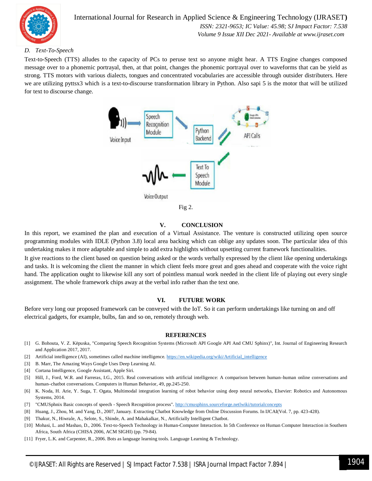

International Journal for Research in Applied Science & Engineering Technology (IJRASET**)**  *ISSN: 2321-9653; IC Value: 45.98; SJ Impact Factor: 7.538 Volume 9 Issue XII Dec 2021- Available at www.ijraset.com*

#### *D. Text-To-Speech*

Text-to-Speech (TTS) alludes to the capacity of PCs to peruse text so anyone might hear. A TTS Engine changes composed message over to a phonemic portrayal, then, at that point, changes the phonemic portrayal over to waveforms that can be yield as strong. TTS motors with various dialects, tongues and concentrated vocabularies are accessible through outsider distributers. Here we are utilizing pyttsx3 which is a text-to-discourse transformation library in Python. Also sapi 5 is the motor that will be utilized for text to discourse change.





#### **V. CONCLUSION**

In this report, we examined the plan and execution of a Virtual Assistance. The venture is constructed utilizing open source programming modules with IDLE (Python 3.8) local area backing which can oblige any updates soon. The particular idea of this undertaking makes it more adaptable and simple to add extra highlights without upsetting current framework functionalities.

It give reactions to the client based on question being asked or the words verbally expressed by the client like opening undertakings and tasks. It is welcoming the client the manner in which client feels more great and goes ahead and cooperate with the voice right hand. The application ought to likewise kill any sort of pointless manual work needed in the client life of playing out every single assignment. The whole framework chips away at the verbal info rather than the text one.

#### **VI. FUTURE WORK**

Before very long our proposed framework can be conveyed with the IoT. So it can perform undertakings like turning on and off electrical gadgets, for example, bulbs, fan and so on, remotely through web.

#### **REFERENCES**

- [1] G. Bohouta, V. Z. Këpuska, "Comparing Speech Recognition Systems (Microsoft API Google API And CMU Sphinx)", Int. Journal of Engineering Research and Application 2017, 2017.
- [2] Artificial intelligence (AI), sometimes called machine intelligence. https://en.wikipedia.org/wiki/Artificial\_intelligence
- [3] B. Marr, The Amazing Ways Google Uses Deep Learning AI.
- [4] Cortana Intelligence, Google Assistant, Apple Siri.
- [5] Hill, J., Ford, W.R. and Farreras, I.G., 2015. Real conversations with artificial intelligence: A comparison between human–human online conversations and human–chatbot conversations. Computers in Human Behavior, 49, pp.245-250.
- [6] K. Noda, H. Arie, Y. Suga, T. Ogata, Multimodal integration learning of robot behavior using deep neural networks, Elsevier: Robotics and Autonomous Systems, 2014.
- [7] "CMUSphnix Basic concepts of speech Speech Recognition process". http://cmusphinx.sourceforge.netlwiki/tutorialconcepts
- [8] Huang, J., Zhou, M. and Yang, D., 2007, January. Extracting Chatbot Knowledge from Online Discussion Forums. In IJCAI(Vol. 7, pp. 423-428).
- [9] Thakur, N., Hiwrale, A., Selote, S., Shinde, A. and Mahakalkar, N., Artificially Intelligent Chatbot.
- [10] Mohasi, L. and Mashao, D., 2006. Text-to-Speech Technology in Human-Computer Interaction. In 5th Conference on Human Computer Interaction in Southern Africa, South Africa (CHISA 2006, ACM SIGHI) (pp. 79-84).
- [11] Fryer, L.K. and Carpenter, R., 2006. Bots as language learning tools. Language Learning & Technology.